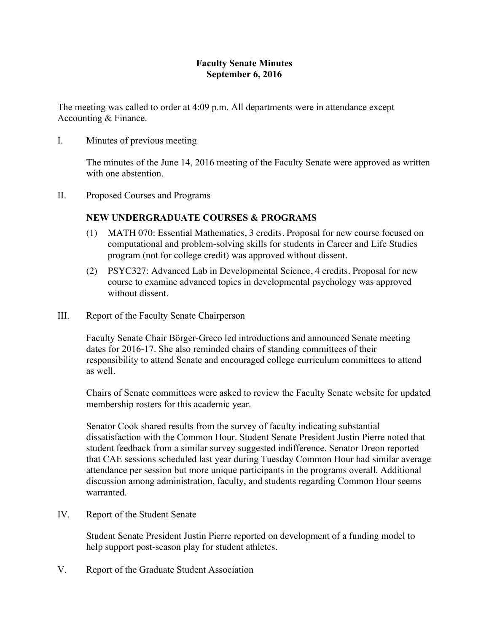## **Faculty Senate Minutes September 6, 2016**

The meeting was called to order at 4:09 p.m. All departments were in attendance except Accounting & Finance.

I. Minutes of previous meeting

The minutes of the June 14, 2016 meeting of the Faculty Senate were approved as written with one abstention

II. Proposed Courses and Programs

# **NEW UNDERGRADUATE COURSES & PROGRAMS**

- (1) MATH 070: Essential Mathematics, 3 credits. Proposal for new course focused on computational and problem-solving skills for students in Career and Life Studies program (not for college credit) was approved without dissent.
- (2) PSYC327: Advanced Lab in Developmental Science, 4 credits. Proposal for new course to examine advanced topics in developmental psychology was approved without dissent.
- III. Report of the Faculty Senate Chairperson

Faculty Senate Chair Börger-Greco led introductions and announced Senate meeting dates for 2016-17. She also reminded chairs of standing committees of their responsibility to attend Senate and encouraged college curriculum committees to attend as well.

Chairs of Senate committees were asked to review the Faculty Senate website for updated membership rosters for this academic year.

Senator Cook shared results from the survey of faculty indicating substantial dissatisfaction with the Common Hour. Student Senate President Justin Pierre noted that student feedback from a similar survey suggested indifference. Senator Dreon reported that CAE sessions scheduled last year during Tuesday Common Hour had similar average attendance per session but more unique participants in the programs overall. Additional discussion among administration, faculty, and students regarding Common Hour seems warranted.

IV. Report of the Student Senate

Student Senate President Justin Pierre reported on development of a funding model to help support post-season play for student athletes.

V. Report of the Graduate Student Association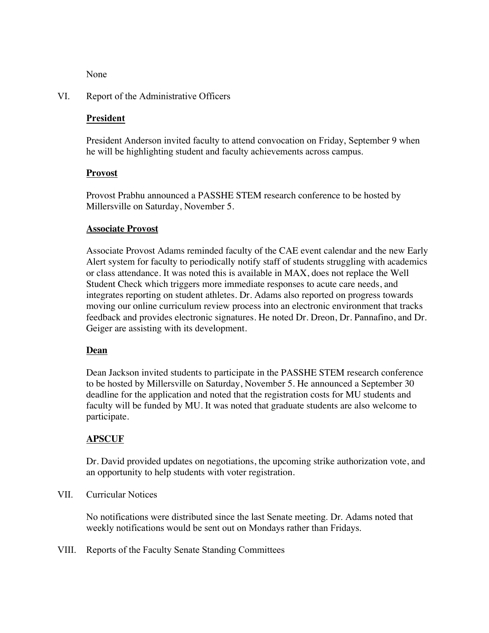None

### VI. Report of the Administrative Officers

## **President**

President Anderson invited faculty to attend convocation on Friday, September 9 when he will be highlighting student and faculty achievements across campus.

#### **Provost**

Provost Prabhu announced a PASSHE STEM research conference to be hosted by Millersville on Saturday, November 5.

#### **Associate Provost**

Associate Provost Adams reminded faculty of the CAE event calendar and the new Early Alert system for faculty to periodically notify staff of students struggling with academics or class attendance. It was noted this is available in MAX, does not replace the Well Student Check which triggers more immediate responses to acute care needs, and integrates reporting on student athletes. Dr. Adams also reported on progress towards moving our online curriculum review process into an electronic environment that tracks feedback and provides electronic signatures. He noted Dr. Dreon, Dr. Pannafino, and Dr. Geiger are assisting with its development.

#### **Dean**

Dean Jackson invited students to participate in the PASSHE STEM research conference to be hosted by Millersville on Saturday, November 5. He announced a September 30 deadline for the application and noted that the registration costs for MU students and faculty will be funded by MU. It was noted that graduate students are also welcome to participate.

#### **APSCUF**

Dr. David provided updates on negotiations, the upcoming strike authorization vote, and an opportunity to help students with voter registration.

#### VII. Curricular Notices

No notifications were distributed since the last Senate meeting. Dr. Adams noted that weekly notifications would be sent out on Mondays rather than Fridays.

VIII. Reports of the Faculty Senate Standing Committees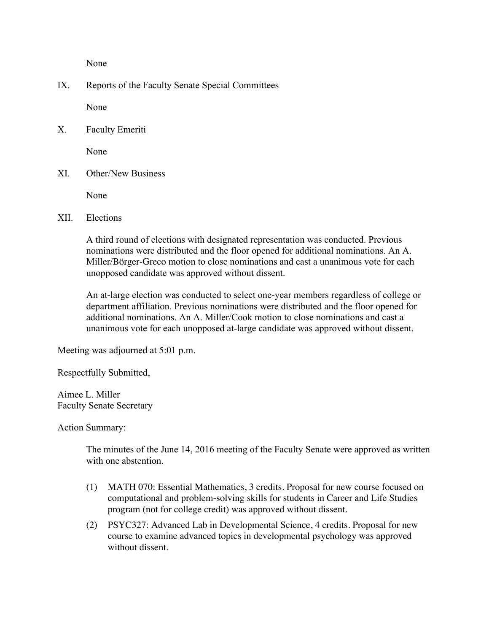None

IX. Reports of the Faculty Senate Special Committees

None

X. Faculty Emeriti

None

XI. Other/New Business

None

XII. Elections

A third round of elections with designated representation was conducted. Previous nominations were distributed and the floor opened for additional nominations. An A. Miller/Börger-Greco motion to close nominations and cast a unanimous vote for each unopposed candidate was approved without dissent.

An at-large election was conducted to select one-year members regardless of college or department affiliation. Previous nominations were distributed and the floor opened for additional nominations. An A. Miller/Cook motion to close nominations and cast a unanimous vote for each unopposed at-large candidate was approved without dissent.

Meeting was adjourned at 5:01 p.m.

Respectfully Submitted,

Aimee L. Miller Faculty Senate Secretary

Action Summary:

The minutes of the June 14, 2016 meeting of the Faculty Senate were approved as written with one abstention

- (1) MATH 070: Essential Mathematics, 3 credits. Proposal for new course focused on computational and problem-solving skills for students in Career and Life Studies program (not for college credit) was approved without dissent.
- (2) PSYC327: Advanced Lab in Developmental Science, 4 credits. Proposal for new course to examine advanced topics in developmental psychology was approved without dissent.